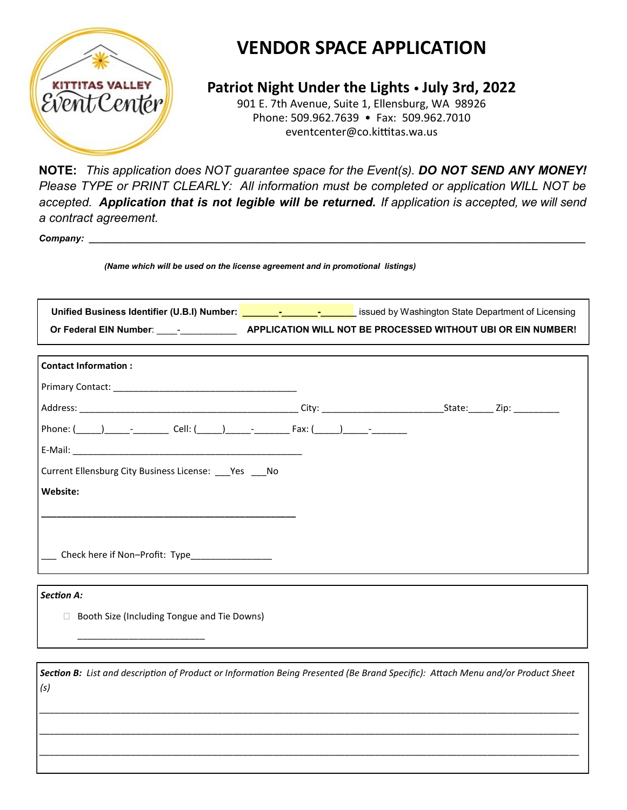

# **VENDOR SPACE APPLICATION**

**Patriot Night Under the Lights** • **July 3rd, 2022**

901 E. 7th Avenue, Suite 1, Ellensburg, WA 98926 Phone: 509.962.7639 • Fax: 509.962.7010 [eventcenter@co.kittitas.wa.us](mailto:fairvendors@co.kittitas.wa.us?subject=2016%20Vendor%20Space%20Applicaiton) 

**NOTE:** *This application does NOT guarantee space for the Event(s). DO NOT SEND ANY MONEY! Please TYPE or PRINT CLEARLY: All information must be completed or application WILL NOT be accepted. Application that is not legible will be returned. If application is accepted, we will send a contract agreement.*

*Company: \_\_\_\_\_\_\_\_\_\_\_\_\_\_\_\_\_\_\_\_\_\_\_\_\_\_\_\_\_\_\_\_\_\_\_\_\_\_\_\_\_\_\_\_\_\_\_\_\_\_\_\_\_\_\_\_\_\_\_\_\_\_\_\_\_\_\_\_\_\_\_\_\_\_\_\_\_\_\_\_\_\_\_\_\_\_\_\_\_\_\_\_\_\_\_\_\_*

*(Name which will be used on the license agreement and in promotional listings)*

| Unified Business Identifier (U.B.I) Number: <u>New School State of Business Constantington</u> State Department of Licensing    |  |  |
|---------------------------------------------------------------------------------------------------------------------------------|--|--|
| Or Federal EIN Number: _______________________APPLICATION WILL NOT BE PROCESSED WITHOUT UBI OR EIN NUMBER!                      |  |  |
|                                                                                                                                 |  |  |
| <b>Contact Information:</b>                                                                                                     |  |  |
|                                                                                                                                 |  |  |
|                                                                                                                                 |  |  |
|                                                                                                                                 |  |  |
|                                                                                                                                 |  |  |
| Current Ellensburg City Business License: ___ Yes ___ No                                                                        |  |  |
| Website:                                                                                                                        |  |  |
|                                                                                                                                 |  |  |
|                                                                                                                                 |  |  |
| Check here if Non-Profit: Type_______________                                                                                   |  |  |
|                                                                                                                                 |  |  |
| <b>Section A:</b>                                                                                                               |  |  |
| Booth Size (Including Tongue and Tie Downs)                                                                                     |  |  |
|                                                                                                                                 |  |  |
|                                                                                                                                 |  |  |
| Section B: List and description of Product or Information Being Presented (Be Brand Specific): Attach Menu and/or Product Sheet |  |  |
| (s)                                                                                                                             |  |  |

*\_\_\_\_\_\_\_\_\_\_\_\_\_\_\_\_\_\_\_\_\_\_\_\_\_\_\_\_\_\_\_\_\_\_\_\_\_\_\_\_\_\_\_\_\_\_\_\_\_\_\_\_\_\_\_\_\_\_\_\_\_\_\_\_\_\_\_\_\_\_\_\_\_\_\_\_\_\_\_\_\_\_\_\_\_\_\_\_\_\_\_\_\_\_\_\_\_\_\_\_\_\_\_\_\_\_*

*\_\_\_\_\_\_\_\_\_\_\_\_\_\_\_\_\_\_\_\_\_\_\_\_\_\_\_\_\_\_\_\_\_\_\_\_\_\_\_\_\_\_\_\_\_\_\_\_\_\_\_\_\_\_\_\_\_\_\_\_\_\_\_\_\_\_\_\_\_\_\_\_\_\_\_\_\_\_\_\_\_\_\_\_\_\_\_\_\_\_\_\_\_\_\_\_\_\_\_\_\_\_\_\_\_\_*

*\_\_\_\_\_\_\_\_\_\_\_\_\_\_\_\_\_\_\_\_\_\_\_\_\_\_\_\_\_\_\_\_\_\_\_\_\_\_\_\_\_\_\_\_\_\_\_\_\_\_\_\_\_\_\_\_\_\_\_\_\_\_\_\_\_\_\_\_\_\_\_\_\_\_\_\_\_\_\_\_\_\_\_\_\_\_\_\_\_\_\_\_\_\_\_\_\_\_\_\_\_\_\_\_\_\_*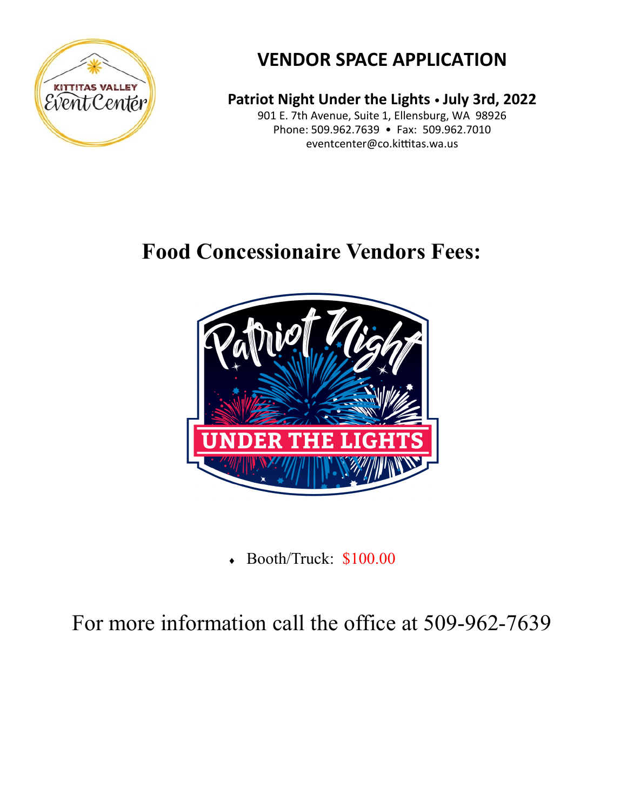

# **VENDOR SPACE APPLICATION**

**Patriot Night Under the Lights** • **July 3rd, 2022**

901 E. 7th Avenue, Suite 1, Ellensburg, WA 98926 Phone: 509.962.7639 • Fax: 509.962.7010 [eventcenter@co.kittitas.wa.us](mailto:fairvendors@co.kittitas.wa.us?subject=2016%20Vendor%20Space%20Applicaiton) 

# **Food Concessionaire Vendors Fees:**



Booth/Truck: \$100.00

For more information call the office at 509-962-7639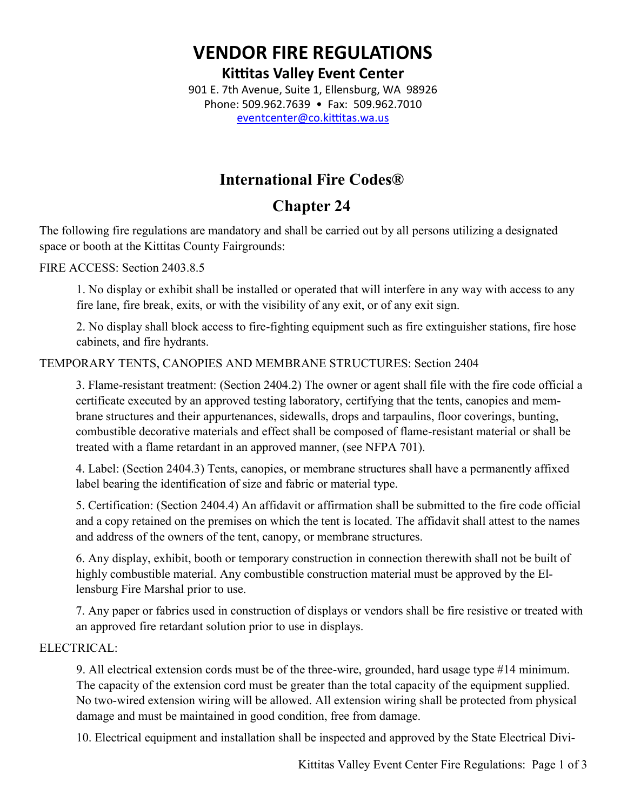## **VENDOR FIRE REGULATIONS**

**Kittitas Valley Event Center**

901 E. 7th Avenue, Suite 1, Ellensburg, WA 98926 Phone: 509.962.7639 • Fax: 509.962.7010 [eventcenter@co.kittitas.wa.us](mailto:fairvendors@co.kittitas.wa.us?subject=2016%20Vendor%20Space%20Applicaiton)

### **International Fire Codes®**

## **Chapter 24**

The following fire regulations are mandatory and shall be carried out by all persons utilizing a designated space or booth at the Kittitas County Fairgrounds:

FIRE ACCESS: Section 2403.8.5

1. No display or exhibit shall be installed or operated that will interfere in any way with access to any fire lane, fire break, exits, or with the visibility of any exit, or of any exit sign.

2. No display shall block access to fire-fighting equipment such as fire extinguisher stations, fire hose cabinets, and fire hydrants.

TEMPORARY TENTS, CANOPIES AND MEMBRANE STRUCTURES: Section 2404

3. Flame-resistant treatment: (Section 2404.2) The owner or agent shall file with the fire code official a certificate executed by an approved testing laboratory, certifying that the tents, canopies and membrane structures and their appurtenances, sidewalls, drops and tarpaulins, floor coverings, bunting, combustible decorative materials and effect shall be composed of flame-resistant material or shall be treated with a flame retardant in an approved manner, (see NFPA 701).

4. Label: (Section 2404.3) Tents, canopies, or membrane structures shall have a permanently affixed label bearing the identification of size and fabric or material type.

5. Certification: (Section 2404.4) An affidavit or affirmation shall be submitted to the fire code official and a copy retained on the premises on which the tent is located. The affidavit shall attest to the names and address of the owners of the tent, canopy, or membrane structures.

6. Any display, exhibit, booth or temporary construction in connection therewith shall not be built of highly combustible material. Any combustible construction material must be approved by the Ellensburg Fire Marshal prior to use.

7. Any paper or fabrics used in construction of displays or vendors shall be fire resistive or treated with an approved fire retardant solution prior to use in displays.

#### ELECTRICAL:

9. All electrical extension cords must be of the three-wire, grounded, hard usage type #14 minimum. The capacity of the extension cord must be greater than the total capacity of the equipment supplied. No two-wired extension wiring will be allowed. All extension wiring shall be protected from physical damage and must be maintained in good condition, free from damage.

10. Electrical equipment and installation shall be inspected and approved by the State Electrical Divi-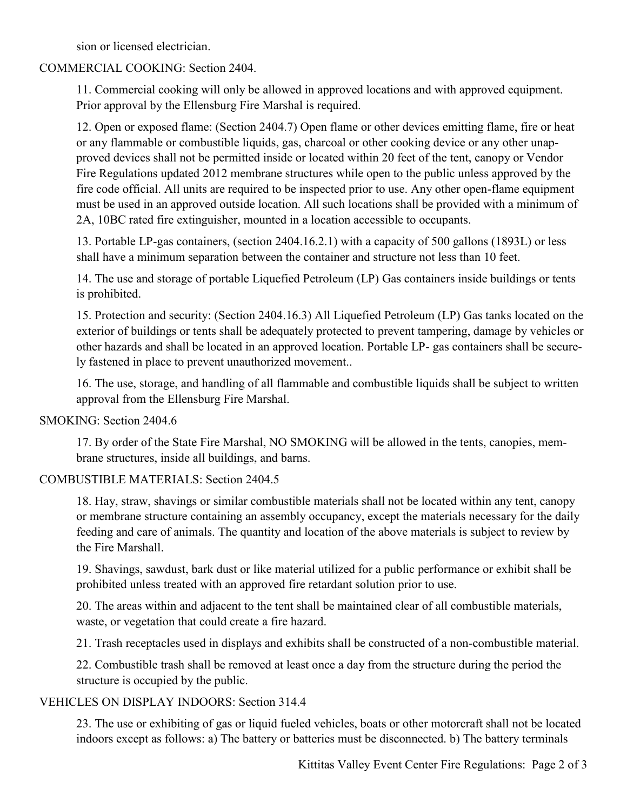sion or licensed electrician.

#### COMMERCIAL COOKING: Section 2404.

11. Commercial cooking will only be allowed in approved locations and with approved equipment. Prior approval by the Ellensburg Fire Marshal is required.

12. Open or exposed flame: (Section 2404.7) Open flame or other devices emitting flame, fire or heat or any flammable or combustible liquids, gas, charcoal or other cooking device or any other unapproved devices shall not be permitted inside or located within 20 feet of the tent, canopy or Vendor Fire Regulations updated 2012 membrane structures while open to the public unless approved by the fire code official. All units are required to be inspected prior to use. Any other open-flame equipment must be used in an approved outside location. All such locations shall be provided with a minimum of 2A, 10BC rated fire extinguisher, mounted in a location accessible to occupants.

13. Portable LP-gas containers, (section 2404.16.2.1) with a capacity of 500 gallons (1893L) or less shall have a minimum separation between the container and structure not less than 10 feet.

14. The use and storage of portable Liquefied Petroleum (LP) Gas containers inside buildings or tents is prohibited.

15. Protection and security: (Section 2404.16.3) All Liquefied Petroleum (LP) Gas tanks located on the exterior of buildings or tents shall be adequately protected to prevent tampering, damage by vehicles or other hazards and shall be located in an approved location. Portable LP- gas containers shall be securely fastened in place to prevent unauthorized movement..

16. The use, storage, and handling of all flammable and combustible liquids shall be subject to written approval from the Ellensburg Fire Marshal.

#### SMOKING: Section 2404.6

17. By order of the State Fire Marshal, NO SMOKING will be allowed in the tents, canopies, membrane structures, inside all buildings, and barns.

#### COMBUSTIBLE MATERIALS: Section 2404.5

18. Hay, straw, shavings or similar combustible materials shall not be located within any tent, canopy or membrane structure containing an assembly occupancy, except the materials necessary for the daily feeding and care of animals. The quantity and location of the above materials is subject to review by the Fire Marshall.

19. Shavings, sawdust, bark dust or like material utilized for a public performance or exhibit shall be prohibited unless treated with an approved fire retardant solution prior to use.

20. The areas within and adjacent to the tent shall be maintained clear of all combustible materials, waste, or vegetation that could create a fire hazard.

21. Trash receptacles used in displays and exhibits shall be constructed of a non-combustible material.

22. Combustible trash shall be removed at least once a day from the structure during the period the structure is occupied by the public.

#### VEHICLES ON DISPLAY INDOORS: Section 314.4

23. The use or exhibiting of gas or liquid fueled vehicles, boats or other motorcraft shall not be located indoors except as follows: a) The battery or batteries must be disconnected. b) The battery terminals